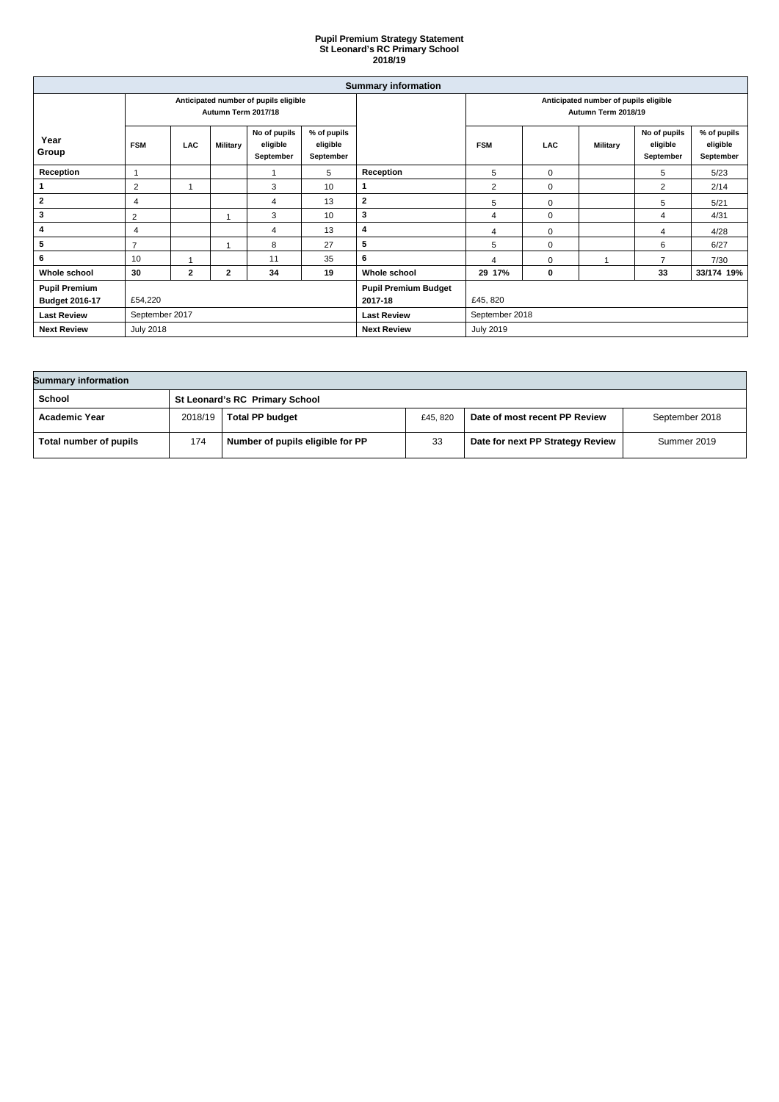| <b>Summary information</b> |                                                              |              |                 |                                       |                                      |                                                              |                |            |                 |                                       |                                      |
|----------------------------|--------------------------------------------------------------|--------------|-----------------|---------------------------------------|--------------------------------------|--------------------------------------------------------------|----------------|------------|-----------------|---------------------------------------|--------------------------------------|
|                            | Anticipated number of pupils eligible<br>Autumn Term 2017/18 |              |                 |                                       |                                      | Anticipated number of pupils eligible<br>Autumn Term 2018/19 |                |            |                 |                                       |                                      |
| Year<br>Group              | <b>FSM</b>                                                   | <b>LAC</b>   | <b>Military</b> | No of pupils<br>eligible<br>September | % of pupils<br>eligible<br>September |                                                              | <b>FSM</b>     | <b>LAC</b> | <b>Military</b> | No of pupils<br>eligible<br>September | % of pupils<br>eligible<br>September |
| <b>Reception</b>           |                                                              |              |                 |                                       | 5                                    | Reception                                                    | $\overline{5}$ | 0          |                 | 5                                     | 5/23                                 |
|                            | $\overline{c}$                                               |              |                 | 3                                     | 10                                   | 1                                                            | $\overline{2}$ | 0          |                 | $\overline{2}$                        | 2/14                                 |
| $\overline{2}$             | 4                                                            |              |                 | 4                                     | 13                                   | $\boldsymbol{2}$                                             | $\overline{5}$ | 0          |                 | 5                                     | 5/21                                 |
| 3                          | 2                                                            |              |                 | 3                                     | 10                                   | 3                                                            | $\overline{4}$ | 0          |                 | 4                                     | 4/31                                 |
| 4                          | 4                                                            |              |                 | 4                                     | 13                                   | 4                                                            | 4              | 0          |                 | 4                                     | 4/28                                 |
| $5\phantom{.0}$            | $\overline{ }$                                               |              |                 | 8                                     | 27                                   | 5                                                            | $\overline{5}$ | 0          |                 | 6                                     | 6/27                                 |
| 6                          | 10                                                           |              |                 | 11                                    | 35                                   | 6                                                            | Δ              | 0          |                 | ⇁                                     | 7/30                                 |
| Whole school               | 30                                                           | $\mathbf{2}$ | $\mathbf{2}$    | 34                                    | 19                                   | Whole school                                                 | 29 17%         | 0          |                 | 33                                    | 33/174 19%                           |
| <b>Pupil Premium</b>       |                                                              |              |                 |                                       |                                      | <b>Pupil Premium Budget</b>                                  |                |            |                 |                                       |                                      |
| <b>Budget 2016-17</b>      | £54,220                                                      |              |                 | 2017-18                               | £45, 820                             |                                                              |                |            |                 |                                       |                                      |
| <b>Last Review</b>         | September 2017                                               |              |                 | <b>Last Review</b>                    | September 2018                       |                                                              |                |            |                 |                                       |                                      |
| <b>Next Review</b>         | <b>July 2018</b>                                             |              |                 | <b>Next Review</b>                    | <b>July 2019</b>                     |                                                              |                |            |                 |                                       |                                      |

| <b>Summary information</b> |         |                                       |          |                                  |                |  |
|----------------------------|---------|---------------------------------------|----------|----------------------------------|----------------|--|
| <b>School</b>              |         | <b>St Leonard's RC Primary School</b> |          |                                  |                |  |
| <b>Academic Year</b>       | 2018/19 | <b>Total PP budget</b>                | £45, 820 | Date of most recent PP Review    | September 2018 |  |
| Total number of pupils     | 174     | Number of pupils eligible for PP      | 33       | Date for next PP Strategy Review | Summer 2019    |  |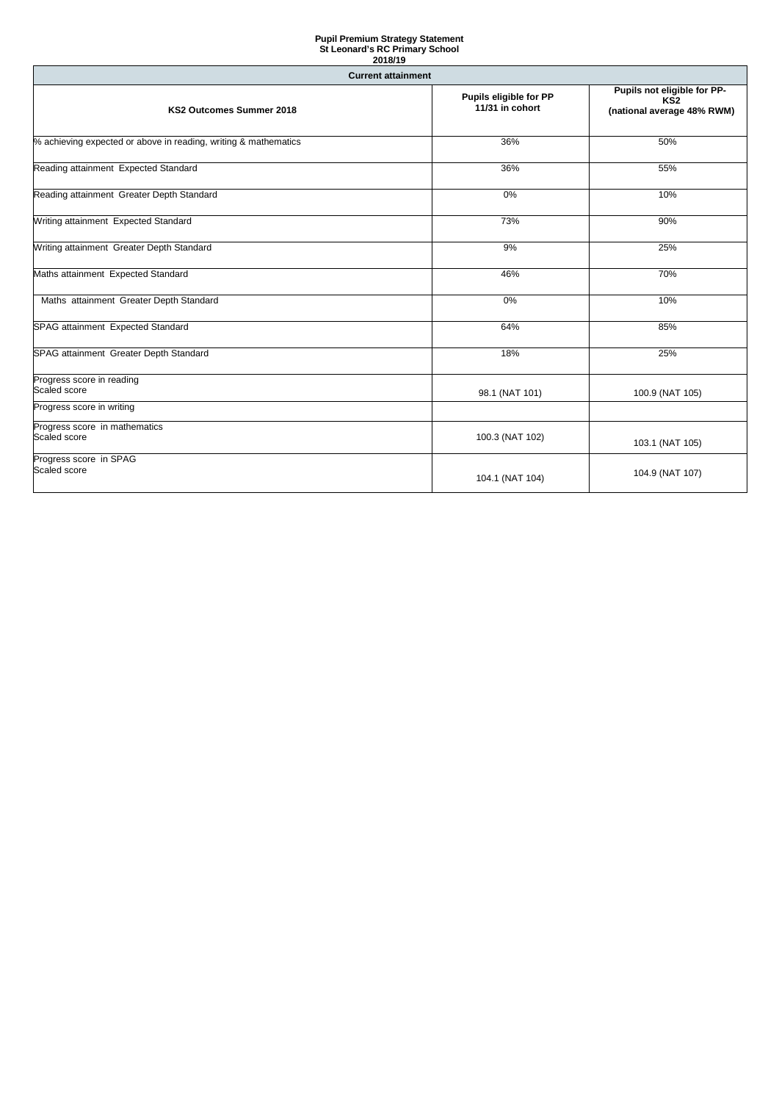| <b>Current attainment</b>                                       |                                                  |                                                                              |  |  |  |
|-----------------------------------------------------------------|--------------------------------------------------|------------------------------------------------------------------------------|--|--|--|
| <b>KS2 Outcomes Summer 2018</b>                                 | <b>Pupils eligible for PP</b><br>11/31 in cohort | Pupils not eligible for PP-<br>KS <sub>2</sub><br>(national average 48% RWM) |  |  |  |
| % achieving expected or above in reading, writing & mathematics | 36%                                              | 50%                                                                          |  |  |  |
| Reading attainment Expected Standard                            | 36%                                              | 55%                                                                          |  |  |  |
| Reading attainment Greater Depth Standard                       | 0%                                               | 10%                                                                          |  |  |  |
| Writing attainment Expected Standard                            | 73%                                              | 90%                                                                          |  |  |  |
| Writing attainment Greater Depth Standard                       | 9%                                               | 25%                                                                          |  |  |  |
| Maths attainment Expected Standard                              | 46%                                              | 70%                                                                          |  |  |  |
| Maths attainment Greater Depth Standard                         | $0\%$                                            | 10%                                                                          |  |  |  |
| SPAG attainment Expected Standard                               | 64%                                              | 85%                                                                          |  |  |  |
| SPAG attainment Greater Depth Standard                          | 18%                                              | 25%                                                                          |  |  |  |
| Progress score in reading<br>Scaled score                       | 98.1 (NAT 101)                                   | 100.9 (NAT 105)                                                              |  |  |  |
| Progress score in writing                                       |                                                  |                                                                              |  |  |  |
| Progress score in mathematics<br>Scaled score                   | 100.3 (NAT 102)                                  | 103.1 (NAT 105)                                                              |  |  |  |
| Progress score in SPAG<br>Scaled score                          | 104.1 (NAT 104)                                  | 104.9 (NAT 107)                                                              |  |  |  |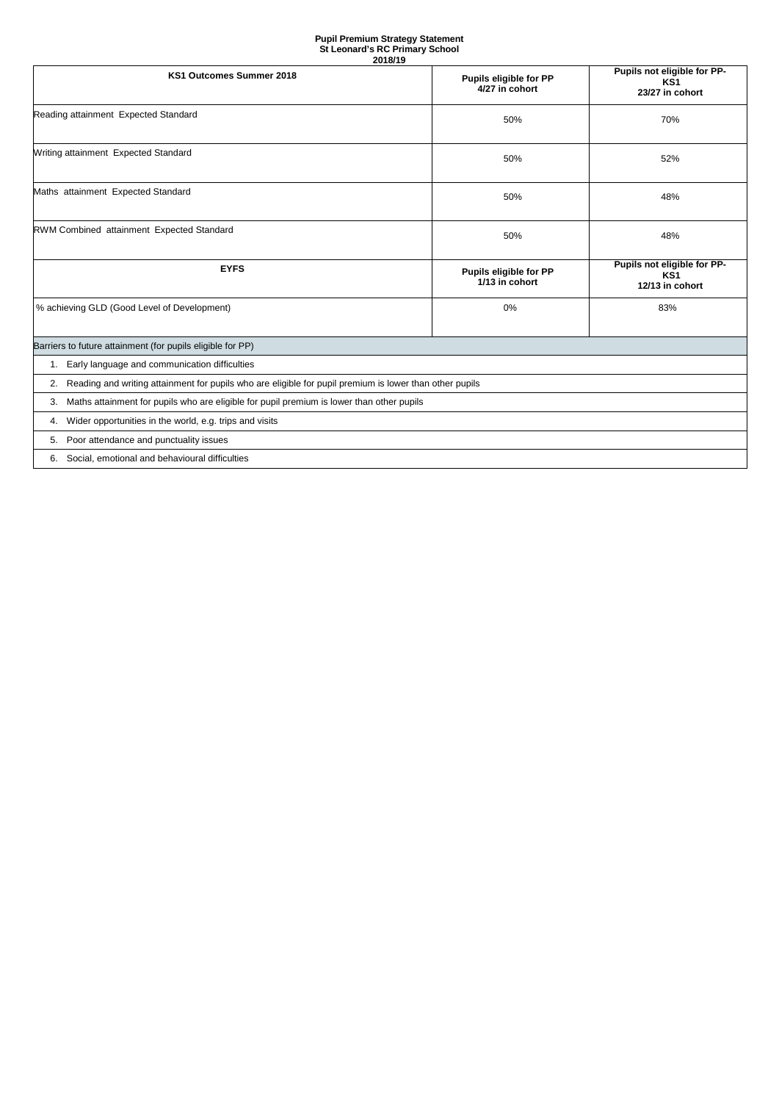| 20 I VI I J                                                                                                |                                                 |                                                                   |  |  |  |  |
|------------------------------------------------------------------------------------------------------------|-------------------------------------------------|-------------------------------------------------------------------|--|--|--|--|
| KS1 Outcomes Summer 2018                                                                                   | <b>Pupils eligible for PP</b><br>4/27 in cohort | Pupils not eligible for PP-<br>KS1<br>23/27 in cohort             |  |  |  |  |
| Reading attainment Expected Standard                                                                       | 50%                                             | 70%                                                               |  |  |  |  |
| Writing attainment Expected Standard                                                                       | 50%                                             | 52%                                                               |  |  |  |  |
| Maths attainment Expected Standard                                                                         | 50%                                             | 48%                                                               |  |  |  |  |
| RWM Combined attainment Expected Standard                                                                  | 50%                                             | 48%                                                               |  |  |  |  |
| <b>EYFS</b>                                                                                                | <b>Pupils eligible for PP</b><br>1/13 in cohort | Pupils not eligible for PP-<br>KS <sub>1</sub><br>12/13 in cohort |  |  |  |  |
| % achieving GLD (Good Level of Development)                                                                | 0%                                              | 83%                                                               |  |  |  |  |
| Barriers to future attainment (for pupils eligible for PP)                                                 |                                                 |                                                                   |  |  |  |  |
| Early language and communication difficulties<br>1.                                                        |                                                 |                                                                   |  |  |  |  |
| 2. Reading and writing attainment for pupils who are eligible for pupil premium is lower than other pupils |                                                 |                                                                   |  |  |  |  |
| Maths attainment for pupils who are eligible for pupil premium is lower than other pupils<br>3.            |                                                 |                                                                   |  |  |  |  |
| Wider opportunities in the world, e.g. trips and visits<br>4.                                              |                                                 |                                                                   |  |  |  |  |
| Poor attendance and punctuality issues<br>5.                                                               |                                                 |                                                                   |  |  |  |  |
| Social, emotional and behavioural difficulties<br>6.                                                       |                                                 |                                                                   |  |  |  |  |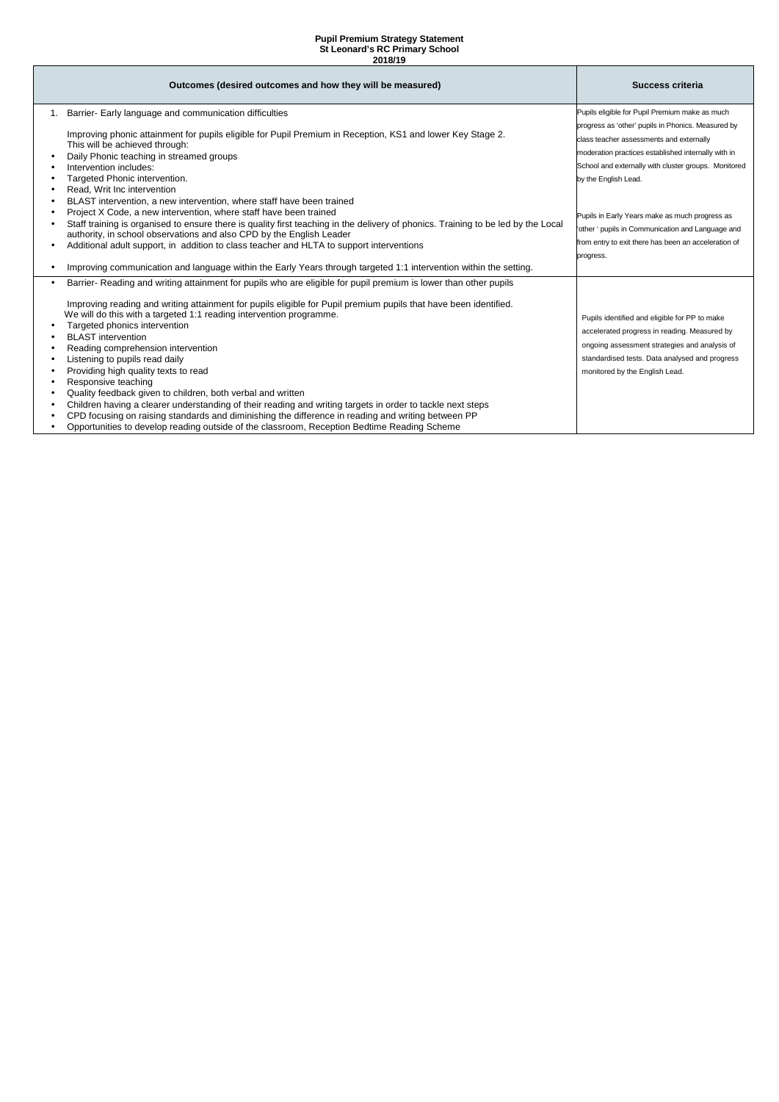| Outcomes (desired outcomes and how they will be measured)                                                                         | Success criteria                                     |
|-----------------------------------------------------------------------------------------------------------------------------------|------------------------------------------------------|
| 1. Barrier- Early language and communication difficulties                                                                         | Pupils eligible for Pupil Premium make as much       |
|                                                                                                                                   | progress as 'other' pupils in Phonics. Measured by   |
| Improving phonic attainment for pupils eligible for Pupil Premium in Reception, KS1 and lower Key Stage 2.                        | class teacher assessments and externally             |
| This will be achieved through:                                                                                                    | moderation practices established internally with in  |
| Daily Phonic teaching in streamed groups<br>Intervention includes:                                                                | School and externally with cluster groups. Monitored |
| Targeted Phonic intervention.                                                                                                     | by the English Lead.                                 |
| Read, Writ Inc intervention                                                                                                       |                                                      |
| BLAST intervention, a new intervention, where staff have been trained                                                             |                                                      |
| Project X Code, a new intervention, where staff have been trained                                                                 | Pupils in Early Years make as much progress as       |
| Staff training is organised to ensure there is quality first teaching in the delivery of phonics. Training to be led by the Local | 'other ' pupils in Communication and Language and    |
| authority, in school observations and also CPD by the English Leader                                                              | from entry to exit there has been an acceleration of |
| Additional adult support, in addition to class teacher and HLTA to support interventions                                          |                                                      |
| Improving communication and language within the Early Years through targeted 1:1 intervention within the setting.                 | progress.                                            |
|                                                                                                                                   |                                                      |
| Barrier- Reading and writing attainment for pupils who are eligible for pupil premium is lower than other pupils                  |                                                      |
| Improving reading and writing attainment for pupils eligible for Pupil premium pupils that have been identified.                  |                                                      |
| We will do this with a targeted 1:1 reading intervention programme.                                                               |                                                      |
| Targeted phonics intervention                                                                                                     | Pupils identified and eligible for PP to make        |
| <b>BLAST</b> intervention                                                                                                         | accelerated progress in reading. Measured by         |
| Reading comprehension intervention                                                                                                | ongoing assessment strategies and analysis of        |
| Listening to pupils read daily                                                                                                    | standardised tests. Data analysed and progress       |
| Providing high quality texts to read                                                                                              | monitored by the English Lead.                       |
| Responsive teaching                                                                                                               |                                                      |
| Quality feedback given to children, both verbal and written                                                                       |                                                      |
| Children having a clearer understanding of their reading and writing targets in order to tackle next steps                        |                                                      |
| CPD focusing on raising standards and diminishing the difference in reading and writing between PP                                |                                                      |
| Opportunities to develop reading outside of the classroom, Reception Bedtime Reading Scheme                                       |                                                      |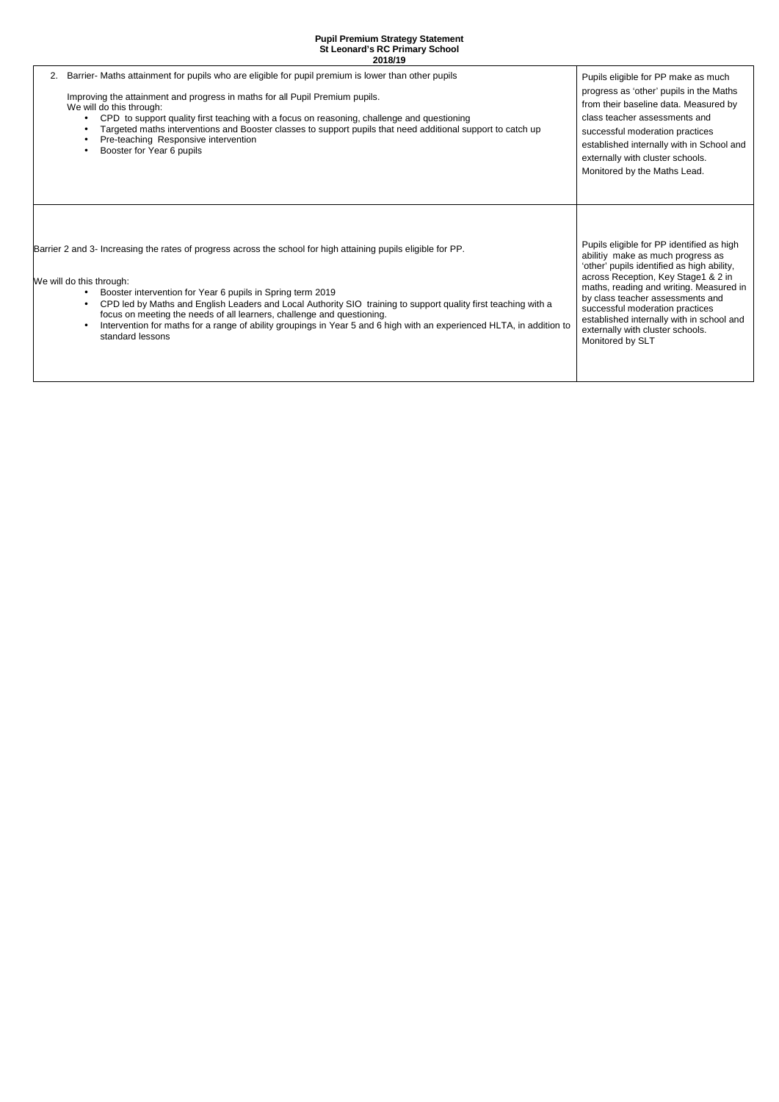| 2. | Barrier- Maths attainment for pupils who are eligible for pupil premium is lower than other pupils<br>Improving the attainment and progress in maths for all Pupil Premium pupils.<br>We will do this through:<br>CPD to support quality first teaching with a focus on reasoning, challenge and questioning<br>Targeted maths interventions and Booster classes to support pupils that need additional support to catch up<br>Pre-teaching Responsive intervention<br>Booster for Year 6 pupils                                                                            | Pupils eligible for PP make as much<br>progress as 'other' pupils in the Maths<br>from their baseline data. Measured by<br>class teacher assessments and<br>successful moderation practices<br>established internally with in School and<br>externally with cluster schools.<br>Monitored by the Maths Lead.                                                                               |
|----|-----------------------------------------------------------------------------------------------------------------------------------------------------------------------------------------------------------------------------------------------------------------------------------------------------------------------------------------------------------------------------------------------------------------------------------------------------------------------------------------------------------------------------------------------------------------------------|--------------------------------------------------------------------------------------------------------------------------------------------------------------------------------------------------------------------------------------------------------------------------------------------------------------------------------------------------------------------------------------------|
|    | Barrier 2 and 3- Increasing the rates of progress across the school for high attaining pupils eligible for PP.<br>We will do this through:<br>Booster intervention for Year 6 pupils in Spring term 2019<br>$\bullet$<br>CPD led by Maths and English Leaders and Local Authority SIO training to support quality first teaching with a<br>$\bullet$<br>focus on meeting the needs of all learners, challenge and questioning.<br>Intervention for maths for a range of ability groupings in Year 5 and 6 high with an experienced HLTA, in addition to<br>standard lessons | Pupils eligible for PP identified as high<br>abilitiy make as much progress as<br>'other' pupils identified as high ability,<br>across Reception, Key Stage1 & 2 in<br>maths, reading and writing. Measured in<br>by class teacher assessments and<br>successful moderation practices<br>established internally with in school and<br>externally with cluster schools.<br>Monitored by SLT |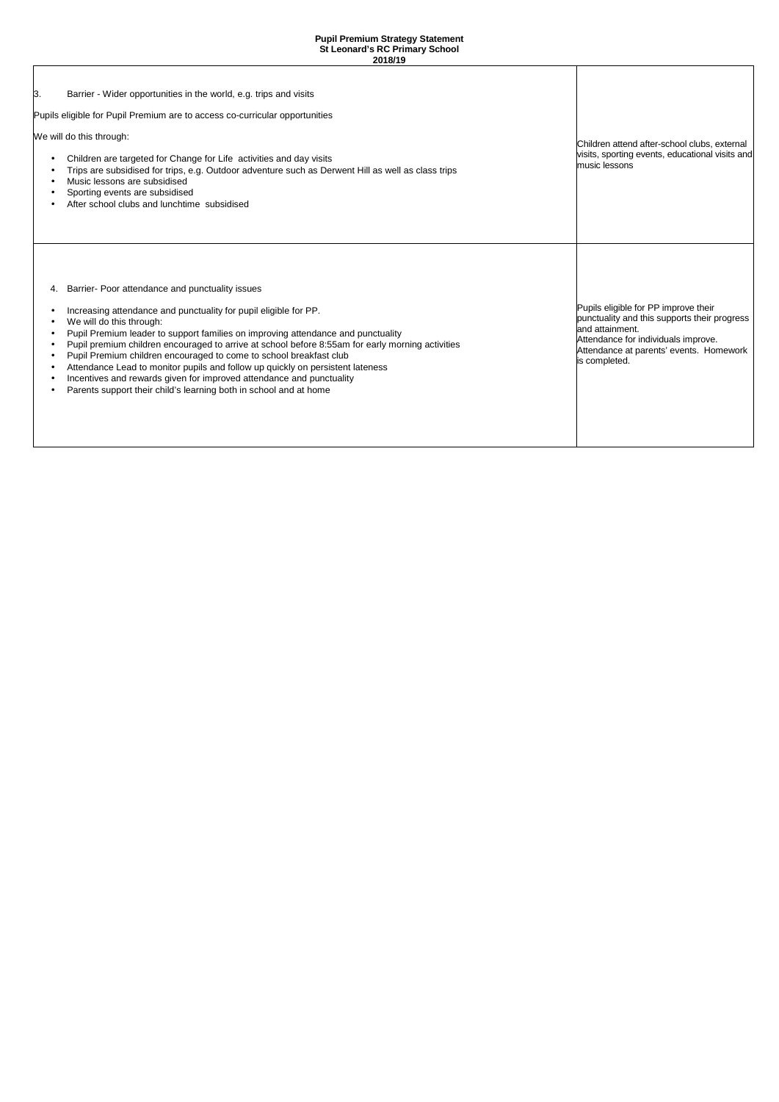| ß. | Barrier - Wider opportunities in the world, e.g. trips and visits<br>Pupils eligible for Pupil Premium are to access co-curricular opportunities<br>We will do this through:<br>Children are targeted for Change for Life activities and day visits<br>Trips are subsidised for trips, e.g. Outdoor adventure such as Derwent Hill as well as class trips<br>Music lessons are subsidised<br>Sporting events are subsidised<br>After school clubs and lunchtime subsidised                                                                                                                                                                   | Children attend after-school clubs, external<br>visits, sporting events, educational visits and<br>music lessons                                                                                           |
|----|----------------------------------------------------------------------------------------------------------------------------------------------------------------------------------------------------------------------------------------------------------------------------------------------------------------------------------------------------------------------------------------------------------------------------------------------------------------------------------------------------------------------------------------------------------------------------------------------------------------------------------------------|------------------------------------------------------------------------------------------------------------------------------------------------------------------------------------------------------------|
| 4. | Barrier- Poor attendance and punctuality issues<br>Increasing attendance and punctuality for pupil eligible for PP.<br>We will do this through:<br>Pupil Premium leader to support families on improving attendance and punctuality<br>Pupil premium children encouraged to arrive at school before 8:55am for early morning activities<br>Pupil Premium children encouraged to come to school breakfast club<br>Attendance Lead to monitor pupils and follow up quickly on persistent lateness<br>Incentives and rewards given for improved attendance and punctuality<br>Parents support their child's learning both in school and at home | Pupils eligible for PP improve their<br>punctuality and this supports their progress<br>and attainment.<br>Attendance for individuals improve.<br>Attendance at parents' events. Homework<br>is completed. |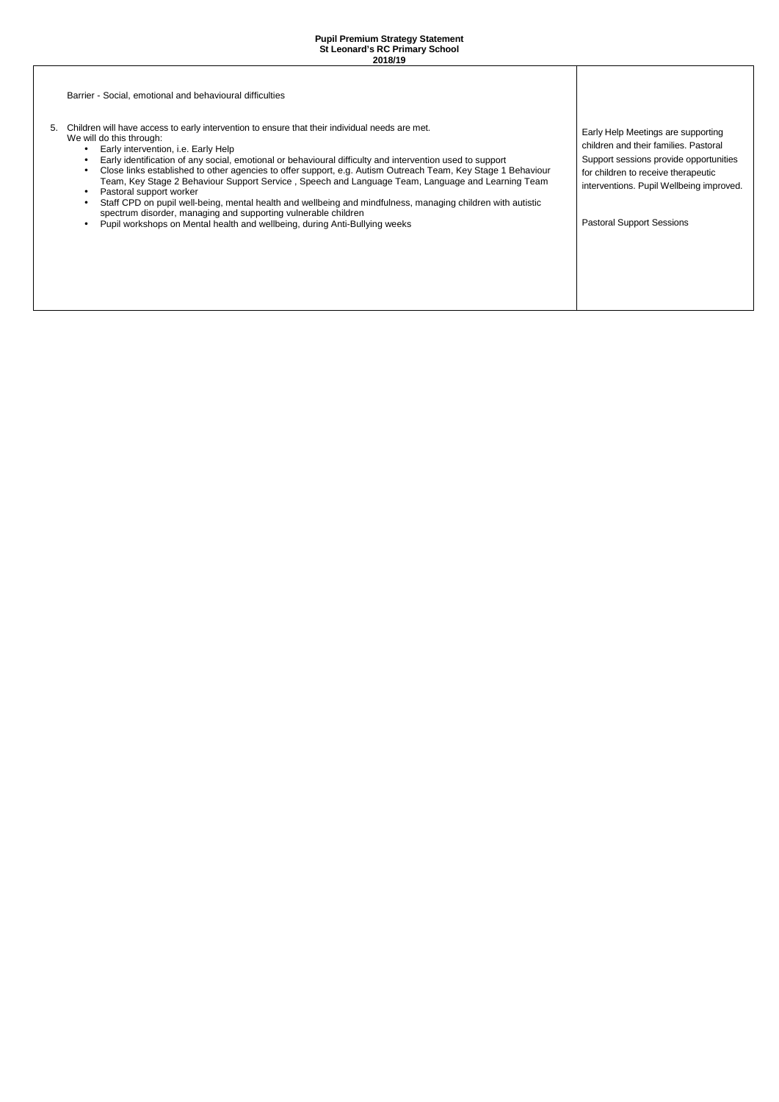| Barrier - Social, emotional and behavioural difficulties                                                                                                                                                                                                                                                                                                                                                                                                                                                                                                                                                                                                                                                                                                                                                                                                                         |                                                                                                                                                                                                                                              |
|----------------------------------------------------------------------------------------------------------------------------------------------------------------------------------------------------------------------------------------------------------------------------------------------------------------------------------------------------------------------------------------------------------------------------------------------------------------------------------------------------------------------------------------------------------------------------------------------------------------------------------------------------------------------------------------------------------------------------------------------------------------------------------------------------------------------------------------------------------------------------------|----------------------------------------------------------------------------------------------------------------------------------------------------------------------------------------------------------------------------------------------|
| Children will have access to early intervention to ensure that their individual needs are met.<br>5.<br>We will do this through:<br>Early intervention, i.e. Early Help<br>$\bullet$<br>Early identification of any social, emotional or behavioural difficulty and intervention used to support<br>$\bullet$<br>Close links established to other agencies to offer support, e.g. Autism Outreach Team, Key Stage 1 Behaviour<br>$\bullet$<br>Team, Key Stage 2 Behaviour Support Service, Speech and Language Team, Language and Learning Team<br>Pastoral support worker<br>$\bullet$<br>Staff CPD on pupil well-being, mental health and wellbeing and mindfulness, managing children with autistic<br>$\bullet$<br>spectrum disorder, managing and supporting vulnerable children<br>Pupil workshops on Mental health and wellbeing, during Anti-Bullying weeks<br>$\bullet$ | Early Help Meetings are supporting<br>children and their families. Pastoral<br>Support sessions provide opportunities<br>for children to receive therapeutic<br>interventions. Pupil Wellbeing improved.<br><b>Pastoral Support Sessions</b> |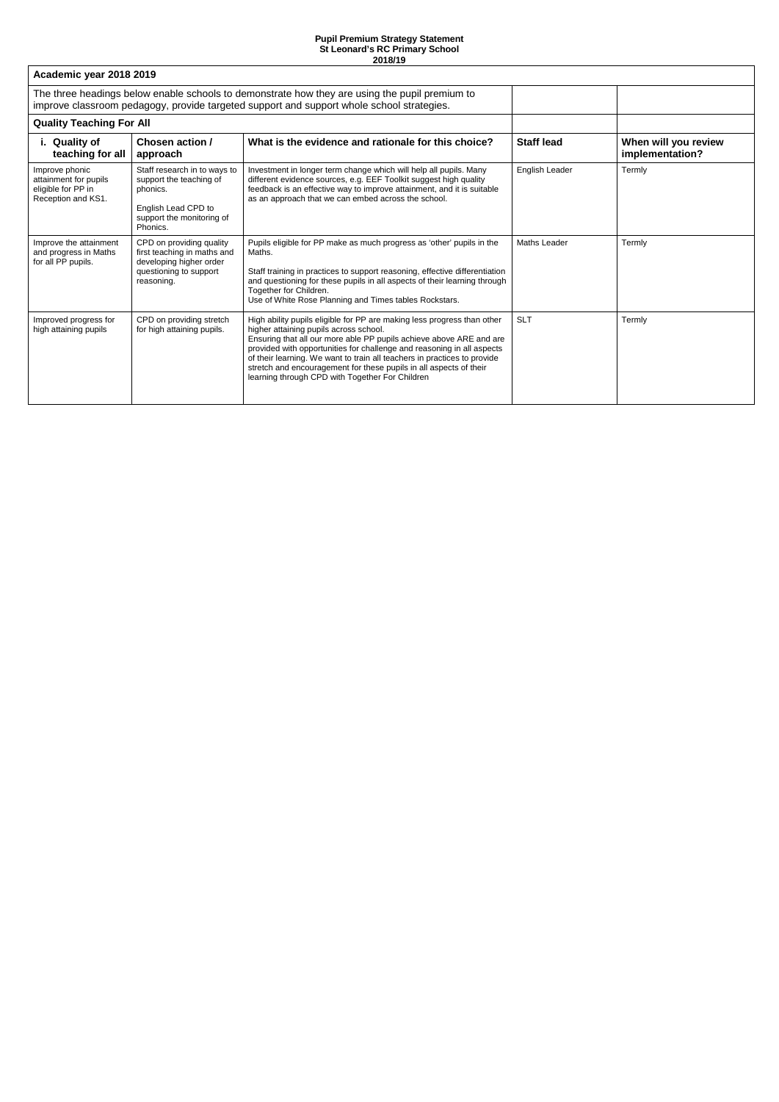| Academic year 2018 2019                                                             |                                                                                                                                     |                                                                                                                                                                                                                                                                                                                                                                                                                                                                         |                     |                                         |
|-------------------------------------------------------------------------------------|-------------------------------------------------------------------------------------------------------------------------------------|-------------------------------------------------------------------------------------------------------------------------------------------------------------------------------------------------------------------------------------------------------------------------------------------------------------------------------------------------------------------------------------------------------------------------------------------------------------------------|---------------------|-----------------------------------------|
|                                                                                     |                                                                                                                                     | The three headings below enable schools to demonstrate how they are using the pupil premium to<br>improve classroom pedagogy, provide targeted support and support whole school strategies.                                                                                                                                                                                                                                                                             |                     |                                         |
| <b>Quality Teaching For All</b>                                                     |                                                                                                                                     |                                                                                                                                                                                                                                                                                                                                                                                                                                                                         |                     |                                         |
| i. Quality of<br>teaching for all                                                   | Chosen action /<br>approach                                                                                                         | What is the evidence and rationale for this choice?                                                                                                                                                                                                                                                                                                                                                                                                                     | <b>Staff lead</b>   | When will you review<br>implementation? |
| Improve phonic<br>attainment for pupils<br>eligible for PP in<br>Reception and KS1. | Staff research in to ways to<br>support the teaching of<br>phonics.<br>English Lead CPD to<br>support the monitoring of<br>Phonics. | Investment in longer term change which will help all pupils. Many<br>different evidence sources, e.g. EEF Toolkit suggest high quality<br>feedback is an effective way to improve attainment, and it is suitable<br>as an approach that we can embed across the school.                                                                                                                                                                                                 | English Leader      | Termly                                  |
| Improve the attainment<br>and progress in Maths<br>for all PP pupils.               | CPD on providing quality<br>first teaching in maths and<br>developing higher order<br>questioning to support<br>reasoning.          | Pupils eligible for PP make as much progress as 'other' pupils in the<br>Maths.<br>Staff training in practices to support reasoning, effective differentiation<br>and questioning for these pupils in all aspects of their learning through<br>Together for Children.<br>Use of White Rose Planning and Times tables Rockstars.                                                                                                                                         | <b>Maths Leader</b> | Termly                                  |
| Improved progress for<br>high attaining pupils                                      | CPD on providing stretch<br>for high attaining pupils.                                                                              | High ability pupils eligible for PP are making less progress than other<br>higher attaining pupils across school.<br>Ensuring that all our more able PP pupils achieve above ARE and are<br>provided with opportunities for challenge and reasoning in all aspects<br>of their learning. We want to train all teachers in practices to provide<br>stretch and encouragement for these pupils in all aspects of their<br>learning through CPD with Together For Children | <b>SLT</b>          | Termly                                  |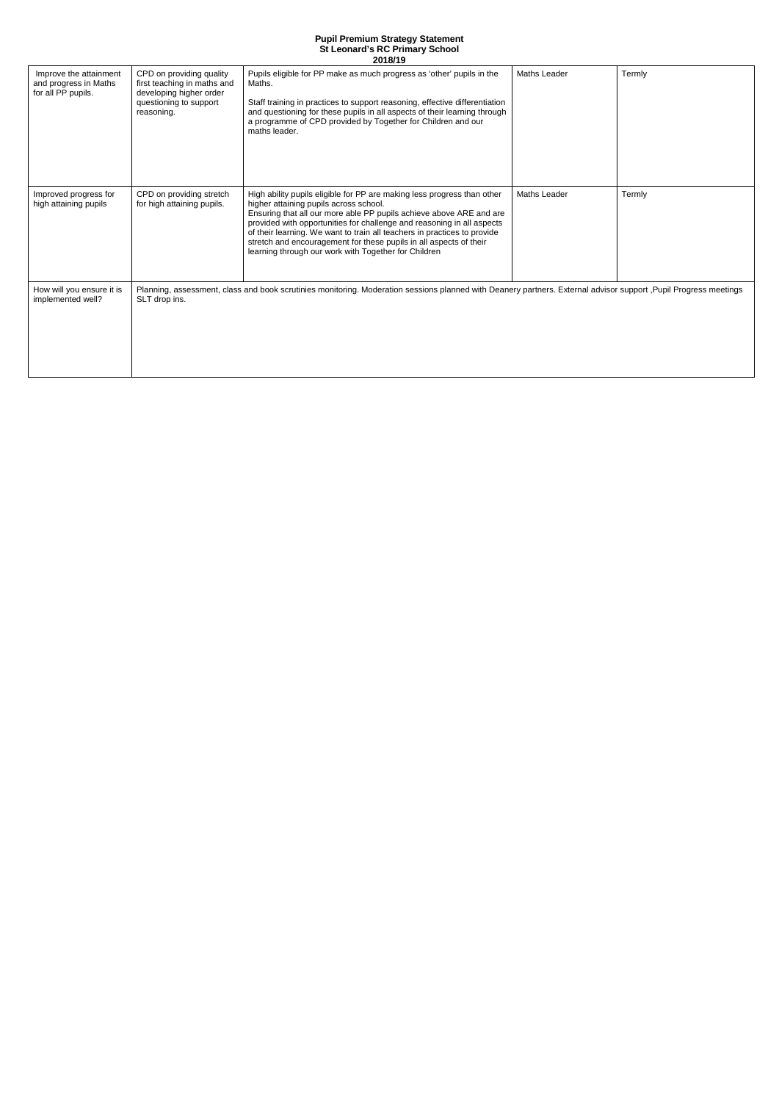| Improve the attainment<br>and progress in Maths<br>for all PP pupils. | CPD on providing quality<br>first teaching in maths and<br>developing higher order<br>questioning to support<br>reasoning. | Pupils eligible for PP make as much progress as 'other' pupils in the<br>Maths.<br>Staff training in practices to support reasoning, effective differentiation<br>and questioning for these pupils in all aspects of their learning through<br>a programme of CPD provided by Together for Children and our<br>maths leader.                                                                                                                                                 | <b>Maths Leader</b> | Termly |
|-----------------------------------------------------------------------|----------------------------------------------------------------------------------------------------------------------------|------------------------------------------------------------------------------------------------------------------------------------------------------------------------------------------------------------------------------------------------------------------------------------------------------------------------------------------------------------------------------------------------------------------------------------------------------------------------------|---------------------|--------|
| Improved progress for<br>high attaining pupils                        | CPD on providing stretch<br>for high attaining pupils.                                                                     | High ability pupils eligible for PP are making less progress than other<br>higher attaining pupils across school.<br>Ensuring that all our more able PP pupils achieve above ARE and are<br>provided with opportunities for challenge and reasoning in all aspects<br>of their learning. We want to train all teachers in practices to provide<br>stretch and encouragement for these pupils in all aspects of their<br>learning through our work with Together for Children | Maths Leader        | Termly |
| How will you ensure it is<br>implemented well?                        | SLT drop ins.                                                                                                              | Planning, assessment, class and book scrutinies monitoring. Moderation sessions planned with Deanery partners. External advisor support , Pupil Progress meetings                                                                                                                                                                                                                                                                                                            |                     |        |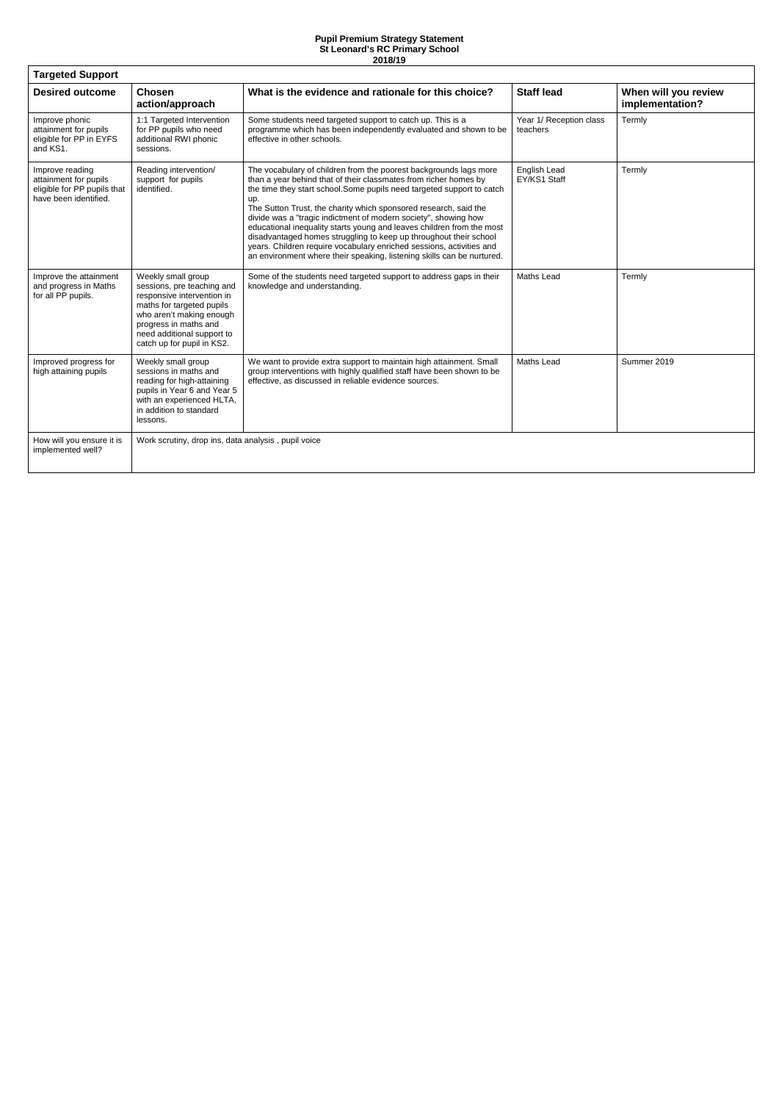| <b>Targeted Support</b>                                                                          |                                                                                                                                                                                                                              |                                                                                                                                                                                                                                                                                                                                                                                                                                                                                                                                                                                                                                                               |                                     |                                         |  |  |
|--------------------------------------------------------------------------------------------------|------------------------------------------------------------------------------------------------------------------------------------------------------------------------------------------------------------------------------|---------------------------------------------------------------------------------------------------------------------------------------------------------------------------------------------------------------------------------------------------------------------------------------------------------------------------------------------------------------------------------------------------------------------------------------------------------------------------------------------------------------------------------------------------------------------------------------------------------------------------------------------------------------|-------------------------------------|-----------------------------------------|--|--|
| <b>Desired outcome</b>                                                                           | <b>Chosen</b><br>action/approach                                                                                                                                                                                             | What is the evidence and rationale for this choice?                                                                                                                                                                                                                                                                                                                                                                                                                                                                                                                                                                                                           | <b>Staff lead</b>                   | When will you review<br>implementation? |  |  |
| Improve phonic<br>attainment for pupils<br>eligible for PP in EYFS<br>and KS1.                   | 1:1 Targeted Intervention<br>for PP pupils who need<br>additional RWI phonic<br>sessions.                                                                                                                                    | Some students need targeted support to catch up. This is a<br>programme which has been independently evaluated and shown to be<br>effective in other schools.                                                                                                                                                                                                                                                                                                                                                                                                                                                                                                 | Year 1/ Reception class<br>teachers | Termly                                  |  |  |
| Improve reading<br>attainment for pupils<br>eligible for PP pupils that<br>have been identified. | Reading intervention/<br>support for pupils<br>identified.                                                                                                                                                                   | The vocabulary of children from the poorest backgrounds lags more<br>than a year behind that of their classmates from richer homes by<br>the time they start school. Some pupils need targeted support to catch<br>up.<br>The Sutton Trust, the charity which sponsored research, said the<br>divide was a "tragic indictment of modern society", showing how<br>educational inequality starts young and leaves children from the most<br>disadvantaged homes struggling to keep up throughout their school<br>years. Children require vocabulary enriched sessions, activities and<br>an environment where their speaking, listening skills can be nurtured. | English Lead<br>EY/KS1 Staff        | Termly                                  |  |  |
| Improve the attainment<br>and progress in Maths<br>for all PP pupils.                            | Weekly small group<br>sessions, pre teaching and<br>responsive intervention in<br>maths for targeted pupils<br>who aren't making enough<br>progress in maths and<br>need additional support to<br>catch up for pupil in KS2. | Some of the students need targeted support to address gaps in their<br>knowledge and understanding.                                                                                                                                                                                                                                                                                                                                                                                                                                                                                                                                                           | <b>Maths Lead</b>                   | Termly                                  |  |  |
| Improved progress for<br>high attaining pupils                                                   | Weekly small group<br>sessions in maths and<br>reading for high-attaining<br>pupils in Year 6 and Year 5<br>with an experienced HLTA,<br>in addition to standard<br>lessons.                                                 | We want to provide extra support to maintain high attainment. Small<br>group interventions with highly qualified staff have been shown to be<br>effective, as discussed in reliable evidence sources.                                                                                                                                                                                                                                                                                                                                                                                                                                                         | <b>Maths Lead</b>                   | Summer 2019                             |  |  |
| How will you ensure it is<br>implemented well?                                                   | Work scrutiny, drop ins, data analysis, pupil voice                                                                                                                                                                          |                                                                                                                                                                                                                                                                                                                                                                                                                                                                                                                                                                                                                                                               |                                     |                                         |  |  |